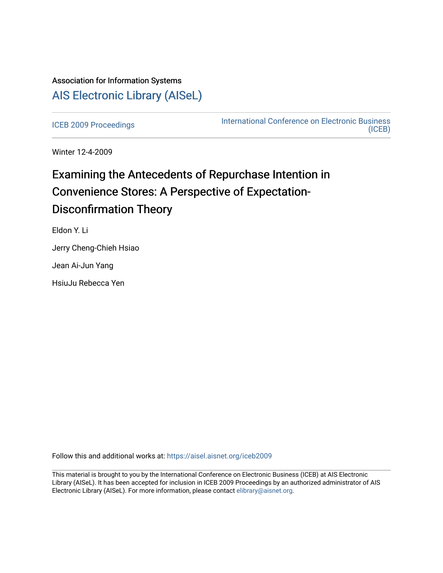# Association for Information Systems [AIS Electronic Library \(AISeL\)](https://aisel.aisnet.org/)

[ICEB 2009 Proceedings](https://aisel.aisnet.org/iceb2009) **International Conference on Electronic Business** [\(ICEB\)](https://aisel.aisnet.org/iceb) 

Winter 12-4-2009

# Examining the Antecedents of Repurchase Intention in Convenience Stores: A Perspective of Expectation-Disconfirmation Theory

Eldon Y. Li

Jerry Cheng-Chieh Hsiao

Jean Ai-Jun Yang

HsiuJu Rebecca Yen

Follow this and additional works at: [https://aisel.aisnet.org/iceb2009](https://aisel.aisnet.org/iceb2009?utm_source=aisel.aisnet.org%2Ficeb2009%2F155&utm_medium=PDF&utm_campaign=PDFCoverPages)

This material is brought to you by the International Conference on Electronic Business (ICEB) at AIS Electronic Library (AISeL). It has been accepted for inclusion in ICEB 2009 Proceedings by an authorized administrator of AIS Electronic Library (AISeL). For more information, please contact [elibrary@aisnet.org.](mailto:elibrary@aisnet.org%3E)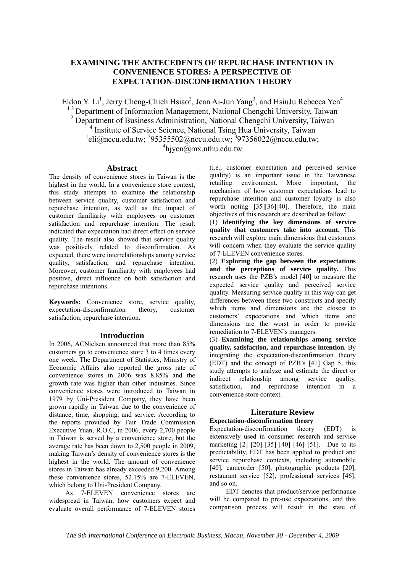# **EXAMINING THE ANTECEDENTS OF REPURCHASE INTENTION IN CONVENIENCE STORES: A PERSPECTIVE OF EXPECTATION-DISCONFIRMATION THEORY**

Eldon Y. Li<sup>1</sup>, Jerry Cheng-Chieh Hsiao<sup>2</sup>, Jean Ai-Jun Yang<sup>3</sup>, and HsiuJu Rebecca Yen<sup>4</sup> <sup>13</sup> Department of Information Management, National Chengchi University, Taiwan 2 Department of Business Administration, National Chengchi University, Taiwan <sup>4</sup> Institute of Service Science, National Tsing Hua University, Taiwan <sup>1</sup>eli@nccu.edu.tw; <sup>2</sup>95355502@nccu.edu.tw;  $4$ hjyen@mx.nthu.edu.tw

#### **Abstract**

The density of convenience stores in Taiwan is the highest in the world. In a convenience store context, this study attempts to examine the relationship between service quality, customer satisfaction and repurchase intention, as well as the impact of customer familiarity with employees on customer satisfaction and repurchase intention. The result indicated that expectation had direct effect on service quality. The result also showed that service quality was positively related to disconfirmation. As expected, there were interrelationships among service quality, satisfaction, and repurchase intention. Moreover, customer familiarity with employees had positive, direct influence on both satisfaction and repurchase intentions.

**Keywords:** Convenience store, service quality, expectation-disconfirmation theory, customer satisfaction, repurchase intention.

#### **Introduction**

In 2006, ACNielsen announced that more than 85% customers go to convenience store 3 to 4 times every one week. The Department of Statistics, Ministry of Economic Affairs also reported the gross rate of convenience stores in 2006 was 8.85% and the growth rate was higher than other industries. Since convenience stores were introduced to Taiwan in 1979 by Uni-President Company, they have been grown rapidly in Taiwan due to the convenience of distance, time, shopping, and service. According to the reports provided by Fair Trade Commission Executive Yuan, R.O.C, in 2006, every 2,700 people in Taiwan is served by a convenience store, but the average rate has been down to 2,500 people in 2009, making Taiwan's density of convenience stores is the highest in the world. The amount of convenience stores in Taiwan has already exceeded 9,200. Among these convenience stores, 52.15% are 7-ELEVEN, which belong to Uni-President Company.

As 7-ELEVEN convenience stores are widespread in Taiwan, how customers expect and evaluate overall performance of 7-ELEVEN stores (i.e., customer expectation and perceived service quality) is an important issue in the Taiwanese retailing environment. More important, the mechanism of how customer expectations lead to repurchase intention and customer loyalty is also worth noting [35][36][40]. Therefore, the main objectives of this research are described as follow:

(1) **Identifying the key dimensions of service quality that customers take into account.** This research will explore main dimensions that customers will concern when they evaluate the service quality of 7-ELEVEN convenience stores.

(2) **Exploring the gap between the expectations and the perceptions of service quality.** This research uses the PZB's model [40] to measure the expected service quality and perceived service quality. Measuring service quality in this way can get differences between these two constructs and specify which items and dimensions are the closest to customers' expectations and which items and dimensions are the worst in order to provide remediation to 7-ELEVEN's managers.

(3) **Examining the relationships among service quality, satisfaction, and repurchase intention.** By integrating the expectation-disconfirmation theory (EDT) and the concept of PZB's [41] Gap 5, this study attempts to analyze and estimate the direct or indirect relationship among service quality, satisfaction, and repurchase intention in a convenience store context.

# **Literature Review**

## **Expectation-disconfirmation theory**

Expectation-disconfirmation theory (EDT) is extensively used in consumer research and service marketing [2] [20] [35] [40] [46] [51]. Due to its predictability, EDT has been applied to product and service repurchase contexts, including automobile [40], camcorder [50], photographic products [20], restaurant service [52], professional services [46], and so on.

EDT denotes that product/service performance will be compared to pre-use expectations, and this comparison process will result in the state of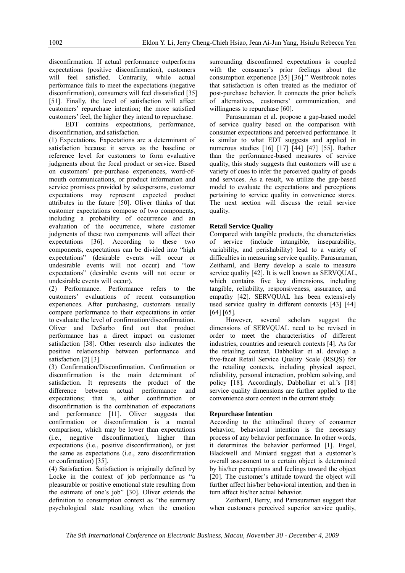disconfirmation. If actual performance outperforms expectations (positive disconfirmation), customers will feel satisfied. Contrarily, while actual performance fails to meet the expectations (negative disconfirmation), consumers will feel dissatisfied [35] [51]. Finally, the level of satisfaction will affect customers' repurchase intention; the more satisfied customers' feel, the higher they intend to repurchase.

EDT contains expectations, performance, disconfirmation, and satisfaction.

(1) Expectations. Expectations are a determinant of satisfaction because it serves as the baseline or reference level for customers to form evaluative judgments about the focal product or service. Based on customers' pre-purchase experiences, word-ofmouth communications, or product information and service promises provided by salespersons, customer expectations may represent expected product attributes in the future [50]. Oliver thinks of that customer expectations compose of two components, including a probability of occurrence and an evaluation of the occurrence, where customer judgments of these two components will affect their expectations [36]. According to these two components, expectations can be divided into "high expectations" (desirable events will occur or undesirable events will not occur) and "low expectations" (desirable events will not occur or undesirable events will occur).

(2) Performance. Performance refers to the customers' evaluations of recent consumption experiences. After purchasing, customers usually compare performance to their expectations in order to evaluate the level of confirmation/disconfirmation. Oliver and DeSarbo find out that product performance has a direct impact on customer satisfaction [38]. Other research also indicates the positive relationship between performance and satisfaction [2] [3].

(3) Confirmation/Disconfirmation. Confirmation or disconfirmation is the main determinant of satisfaction. It represents the product of the difference between actual performance and expectations; that is, either confirmation or disconfirmation is the combination of expectations and performance [11]. Oliver suggests that confirmation or disconfirmation is a mental comparison, which may be lower than expectations (i.e., negative disconfirmation), higher than expectations (i.e., positive disconfirmation), or just the same as expectations (i.e., zero disconfirmation or confirmation) [35].

(4) Satisfaction. Satisfaction is originally defined by Locke in the context of job performance as "a pleasurable or positive emotional state resulting from the estimate of one's job" [30]. Oliver extends the definition to consumption context as "the summary psychological state resulting when the emotion

surrounding disconfirmed expectations is coupled with the consumer's prior feelings about the consumption experience [35] [36]." Westbrook notes that satisfaction is often treated as the mediator of post-purchase behavior. It connects the prior beliefs of alternatives, customers' communication, and willingness to repurchase [60].

Parasuraman et al. propose a gap-based model of service quality based on the comparison with consumer expectations and perceived performance. It is similar to what EDT suggests and applied in numerous studies [16] [17] [44] [47] [55]. Rather than the performance-based measures of service quality, this study suggests that customers will use a variety of cues to infer the perceived quality of goods and services. As a result, we utilize the gap-based model to evaluate the expectations and perceptions pertaining to service quality in convenience stores. The next section will discuss the retail service quality.

# **Retail Service Quality**

Compared with tangible products, the characteristics of service (include intangible, inseparability, variability, and perishability) lead to a variety of difficulties in measuring service quality. Parasuraman, Zeithaml, and Berry develop a scale to measure service quality [42]. It is well known as SERVOUAL. which contains five key dimensions, including tangible, reliability, responsiveness, assurance, and empathy [42]. SERVQUAL has been extensively used service quality in different contexts [43] [44] [64] [65].

 However, several scholars suggest the dimensions of SERVQUAL need to be revised in order to meet the characteristics of different industries, countries and research contexts [4]. As for the retailing context, Dabholkar et al. develop a five-facet Retail Service Quality Scale (RSQS) for the retailing contexts, including physical aspect, reliability, personal interaction, problem solving, and policy [18]. Accordingly, Dabholkar et al.'s [18] service quality dimensions are further applied to the convenience store context in the current study.

## **Repurchase Intention**

According to the attitudinal theory of consumer behavior, behavioral intention is the necessary process of any behavior performance. In other words, it determines the behavior performed [1]. Engel, Blackwell and Miniard suggest that a customer's overall assessment to a certain object is determined by his/her perceptions and feelings toward the object [20]. The customer's attitude toward the object will further affect his/her behavioral intention, and then in turn affect his/her actual behavior.

 Zeithaml, Berry, and Parasuraman suggest that when customers perceived superior service quality,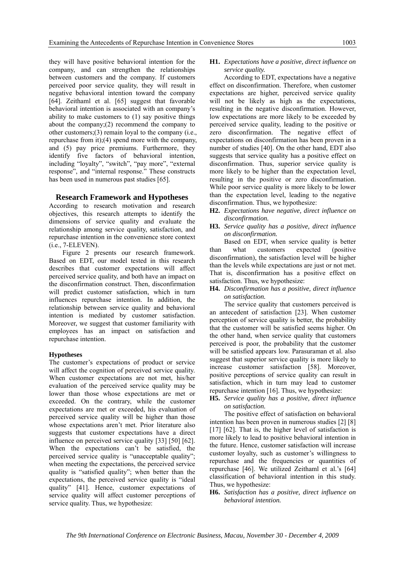they will have positive behavioral intention for the company, and can strengthen the relationships between customers and the company. If customers perceived poor service quality, they will result in negative behavioral intention toward the company [64]. Zeithaml et al. [65] suggest that favorable behavioral intention is associated with an company's ability to make customers to (1) say positive things about the company;(2) recommend the company to other customers;(3) remain loyal to the company (i.e., repurchase from it);(4) spend more with the company, and (5) pay price premiums. Furthermore, they identify five factors of behavioral intention, including "loyalty", "switch", "pay more", "external response", and "internal response." These constructs has been used in numerous past studies [65].

#### **Research Framework and Hypotheses**

According to research motivation and research objectives, this research attempts to identify the dimensions of service quality and evaluate the relationship among service quality, satisfaction, and repurchase intention in the convenience store context (i.e., 7-ELEVEN).

Figure 2 presents our research framework. Based on EDT, our model tested in this research describes that customer expectations will affect perceived service quality, and both have an impact on the disconfirmation construct. Then, disconfirmation will predict customer satisfaction, which in turn influences repurchase intention. In addition, the relationship between service quality and behavioral intention is mediated by customer satisfaction. Moreover, we suggest that customer familiarity with employees has an impact on satisfaction and repurchase intention.

#### **Hypotheses**

The customer's expectations of product or service will affect the cognition of perceived service quality. When customer expectations are not met, his/her evaluation of the perceived service quality may be lower than those whose expectations are met or exceeded. On the contrary, while the customer expectations are met or exceeded, his evaluation of perceived service quality will be higher than those whose expectations aren't met. Prior literature also suggests that customer expectations have a direct influence on perceived service quality [33] [50] [62]. When the expectations can't be satisfied, the perceived service quality is "unacceptable quality"; when meeting the expectations, the perceived service quality is "satisfied quality"; when better than the expectations, the perceived service quality is "ideal quality" [41]. Hence, customer expectations of service quality will affect customer perceptions of service quality. Thus, we hypothesize:

## **H1.** *Expectations have a positive, direct influence on service quality.*

According to EDT, expectations have a negative effect on disconfirmation. Therefore, when customer expectations are higher, perceived service quality will not be likely as high as the expectations, resulting in the negative disconfirmation. However, low expectations are more likely to be exceeded by perceived service quality, leading to the positive or zero disconfirmation. The negative effect of expectations on disconfirmation has been proven in a number of studies [40]. On the other hand, EDT also suggests that service quality has a positive effect on disconfirmation. Thus, superior service quality is more likely to be higher than the expectation level, resulting in the positive or zero disconfirmation. While poor service quality is more likely to be lower than the expectation level, leading to the negative disconfirmation. Thus, we hypothesize:

- **H2.** *Expectations have negative, direct influence on disconfirmation.*
- **H3.** *Service quality has a positive, direct influence on disconfirmation.*

Based on EDT, when service quality is better than what customers expected (positive disconfirmation), the satisfaction level will be higher than the levels while expectations are just or not met. That is, disconfirmation has a positive effect on satisfaction. Thus, we hypothesize:

**H4.** *Disconfirmation has a positive, direct influence on satisfaction.* 

The service quality that customers perceived is an antecedent of satisfaction [23]. When customer perception of service quality is better, the probability that the customer will be satisfied seems higher. On the other hand, when service quality that customers perceived is poor, the probability that the customer will be satisfied appears low. Parasuraman et al. also suggest that superior service quality is more likely to increase customer satisfaction [58]. Moreover, positive perceptions of service quality can result in satisfaction, which in turn may lead to customer repurchase intention [16]. Thus, we hypothesize:

**H5.** *Service quality has a positive, direct influence on satisfaction.* 

The positive effect of satisfaction on behavioral intention has been proven in numerous studies [2] [8] [17] [62]. That is, the higher level of satisfaction is more likely to lead to positive behavioral intention in the future. Hence, customer satisfaction will increase customer loyalty, such as customer's willingness to repurchase and the frequencies or quantities of repurchase [46]. We utilized Zeithaml et al.'s [64] classification of behavioral intention in this study. Thus, we hypothesize:

**H6.** *Satisfaction has a positive, direct influence on behavioral intention.*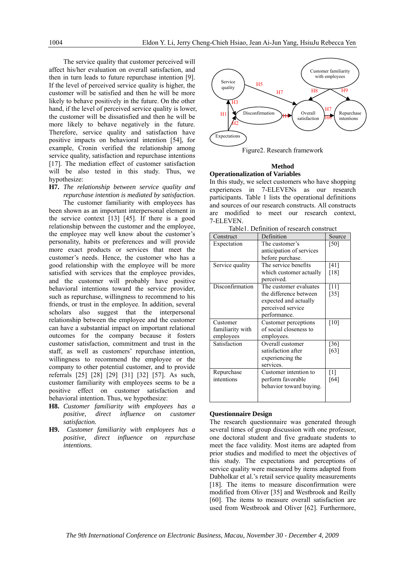The service quality that customer perceived will affect his/her evaluation on overall satisfaction, and then in turn leads to future repurchase intention [9]. If the level of perceived service quality is higher, the customer will be satisfied and then he will be more likely to behave positively in the future. On the other hand, if the level of perceived service quality is lower, the customer will be dissatisfied and then he will be more likely to behave negatively in the future. Therefore, service quality and satisfaction have positive impacts on behavioral intention [54], for example, Cronin verified the relationship among service quality, satisfaction and repurchase intentions [17]. The mediation effect of customer satisfaction will be also tested in this study. Thus, we hypothesize:

**H7.** *The relationship between service quality and repurchase intention is mediated by satisfaction.* 

The customer familiarity with employees has been shown as an important interpersonal element in the service context [13] [45]. If there is a good relationship between the customer and the employee, the employee may well know about the customer's personality, habits or preferences and will provide more exact products or services that meet the customer's needs. Hence, the customer who has a good relationship with the employee will be more satisfied with services that the employee provides. and the customer will probably have positive behavioral intentions toward the service provider, such as repurchase, willingness to recommend to his friends, or trust in the employee. In addition, several scholars also suggest that the interpersonal relationship between the employee and the customer can have a substantial impact on important relational outcomes for the company because it fosters customer satisfaction, commitment and trust in the staff, as well as customers' repurchase intention, willingness to recommend the employee or the company to other potential customer, and to provide referrals [25] [28] [29] [31] [32] [57]. As such, customer familiarity with employees seems to be a positive effect on customer satisfaction and behavioral intention. Thus, we hypothesize:

- **H8.** *Customer familiarity with employees has a positive, direct influence on customer satisfaction.*
- **H9.** *Customer familiarity with employees has a positive, direct influence on repurchase intentions.*



#### **Method Operationalization of Variables**

In this study, we select customers who have shopping experiences in 7-ELEVENs as our research participants. Table 1 lists the operational definitions and sources of our research constructs. All constructs are modified to meet our research context, 7-ELEVEN.

Table1. Definition of research construct

| Construct        | Definition               | Source             |
|------------------|--------------------------|--------------------|
| Expectation      | The customer's           | [50]               |
|                  | anticipation of services |                    |
|                  | before purchase.         |                    |
| Service quality  | The service benefits     | [41]               |
|                  | which customer actually  | [18]               |
|                  | perceived.               |                    |
| Disconfirmation  | The customer evaluates   | [11]               |
|                  | the difference between   | $\lceil 35 \rceil$ |
|                  | expected and actually    |                    |
|                  | perceived service        |                    |
|                  | performance.             |                    |
| Customer         | Customer perceptions     | $[10]$             |
| familiarity with | of social closeness to   |                    |
| employees        | employees.               |                    |
| Satisfaction     | Overall customer         | $\left[36\right]$  |
|                  | satisfaction after       | [63]               |
|                  | experiencing the         |                    |
|                  | services.                |                    |
| Repurchase       | Customer intention to    | [1]                |
| intentions       | perform favorable        | [64]               |
|                  | behavior toward buying.  |                    |
|                  |                          |                    |

## **Questionnaire Design**

The research questionnaire was generated through several times of group discussion with one professor, one doctoral student and five graduate students to meet the face validity. Most items are adapted from prior studies and modified to meet the objectives of this study. The expectations and perceptions of service quality were measured by items adapted from Dabholkar et al.'s retail service quality measurements [18]. The items to measure disconfirmation were modified from Oliver [35] and Westbrook and Reilly [60]. The items to measure overall satisfaction are used from Westbrook and Oliver [62]. Furthermore,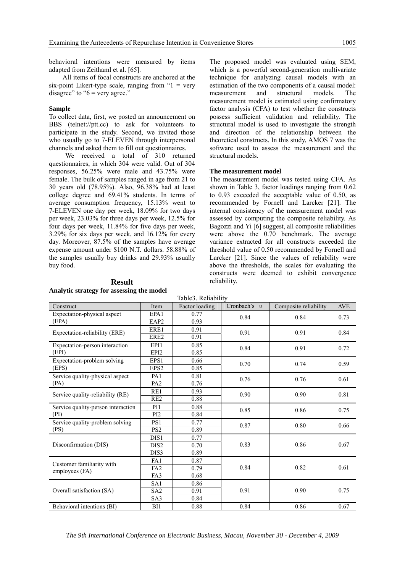behavioral intentions were measured by items adapted from Zeithaml et al. [65].

All items of focal constructs are anchored at the six-point Likert-type scale, ranging from " $1$  = very disagree" to " $6$  = very agree."

#### **Sample**

To collect data, first, we posted an announcement on BBS (telnet://ptt.cc) to ask for volunteers to participate in the study. Second, we invited those who usually go to 7-ELEVEN through interpersonal channels and asked them to fill out questionnaires.

We received a total of 310 returned questionnaires, in which 304 were valid. Out of 304 responses, 56.25% were male and 43.75% were female. The bulk of samples ranged in age from 21 to 30 years old (78.95%). Also, 96.38% had at least college degree and 69.41% students. In terms of average consumption frequency, 15.13% went to 7-ELEVEN one day per week, 18.09% for two days per week, 23.03% for three days per week, 12.5% for four days per week, 11.84% for five days per week, 3.29% for six days per week, and 16.12% for every day. Moreover, 87.5% of the samples have average expense amount under \$100 N.T. dollars. 58.88% of the samples usually buy drinks and 29.93% usually buy food.

The proposed model was evaluated using SEM, which is a powerful second-generation multivariate technique for analyzing causal models with an estimation of the two components of a causal model: measurement and structural models. The measurement model is estimated using confirmatory factor analysis (CFA) to test whether the constructs possess sufficient validation and reliability. The structural model is used to investigate the strength and direction of the relationship between the theoretical constructs. In this study, AMOS 7 was the software used to assess the measurement and the structural models.

#### **The measurement model**

The measurement model was tested using CFA. As shown in Table 3, factor loadings ranging from 0.62 to 0.93 exceeded the acceptable value of 0.50, as recommended by Fornell and Larcker [21]. The internal consistency of the measurement model was assessed by computing the composite reliability. As Bagozzi and Yi [6] suggest, all composite reliabilities were above the 0.70 benchmark. The average variance extracted for all constructs exceeded the threshold value of 0.50 recommended by Fornell and Larcker [21]. Since the values of reliability were above the thresholds, the scales for evaluating the constructs were deemed to exhibit convergence reliability.

| TAUIUJ. INVIIAUIIITY                        |                  |                |                     |                       |            |  |  |  |
|---------------------------------------------|------------------|----------------|---------------------|-----------------------|------------|--|--|--|
| Construct                                   | Item             | Factor loading | Cronbach's $\alpha$ | Composite reliability | <b>AVE</b> |  |  |  |
| Expectation-physical aspect                 | EPA1             | 0.77           | 0.84                | 0.84                  | 0.73       |  |  |  |
| (EPA)                                       | EAP <sub>2</sub> | 0.93           |                     |                       |            |  |  |  |
| Expectation-reliability (ERE)               | ERE1             | 0.91           | 0.91                | 0.91                  | 0.84       |  |  |  |
|                                             | ERE2             | 0.91           |                     |                       |            |  |  |  |
| Expectation-person interaction              | EPI1             | 0.85           | 0.84                | 0.91                  | 0.72       |  |  |  |
| (EPI)                                       | EPI2             | 0.85           |                     |                       |            |  |  |  |
| Expectation-problem solving<br>(EPS)        | EPS1             | 0.66           | 0.70                | 0.74                  | 0.59       |  |  |  |
|                                             | EPS <sub>2</sub> | 0.85           |                     |                       |            |  |  |  |
| Service quality-physical aspect<br>(PA)     | PA <sub>1</sub>  | 0.81           | 0.76                | 0.76                  | 0.61       |  |  |  |
|                                             | PA <sub>2</sub>  | 0.76           |                     |                       |            |  |  |  |
| Service quality-reliability (RE)            | RE1              | 0.93           | 0.90                | 0.90                  | 0.81       |  |  |  |
|                                             | RE <sub>2</sub>  | 0.88           |                     |                       |            |  |  |  |
| Service quality-person interaction<br>(PI)  | P <sub>I1</sub>  | 0.88           | 0.85                | 0.86                  | 0.75       |  |  |  |
|                                             | P <sub>I2</sub>  | 0.84           |                     |                       |            |  |  |  |
| Service quality-problem solving<br>(PS)     | PS1              | 0.77           | 0.87                | 0.80                  | 0.66       |  |  |  |
|                                             | PS <sub>2</sub>  | 0.89           |                     |                       |            |  |  |  |
| Disconfirmation (DIS)                       | DIS1             | 0.77           | 0.83                | 0.86                  | 0.67       |  |  |  |
|                                             | DIS <sub>2</sub> | 0.70           |                     |                       |            |  |  |  |
|                                             | DIS3             | 0.89           |                     |                       |            |  |  |  |
| Customer familiarity with<br>employees (FA) | FA1              | 0.87           | 0.84                | 0.82                  | 0.61       |  |  |  |
|                                             | FA <sub>2</sub>  | 0.79           |                     |                       |            |  |  |  |
|                                             | FA3              | 0.68           |                     |                       |            |  |  |  |
| Overall satisfaction (SA)                   | SA <sub>1</sub>  | 0.86           | 0.91                | 0.90                  | 0.75       |  |  |  |
|                                             | SA2              | 0.91           |                     |                       |            |  |  |  |
|                                             | SA3              | 0.84           |                     |                       |            |  |  |  |
| Behavioral intentions (BI)                  | BI1              | 0.88           | 0.84                | 0.86                  | 0.67       |  |  |  |

Table3. Reliability

# **Result**

#### **Analytic strategy for assessing the model**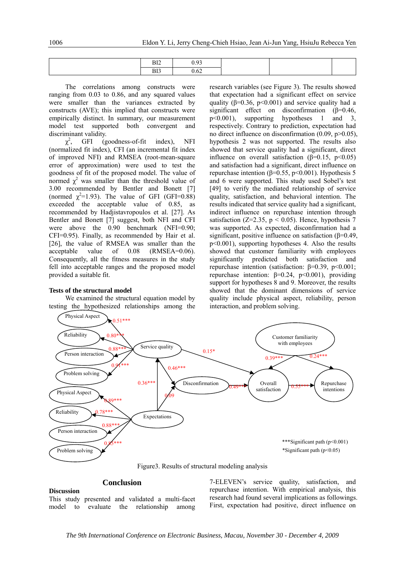| DI <sup>n</sup><br>DIZ. | ገ ሰኅ |  |
|-------------------------|------|--|
| DJ <sub>1</sub>         | 9.62 |  |

The correlations among constructs were ranging from 0.03 to 0.86, and any squared values were smaller than the variances extracted by constructs (AVE); this implied that constructs were empirically distinct. In summary, our measurement model test supported both convergent and discriminant validity.

 $\chi^2$  $(goodness-of-fit \tindex)$ , NFI (normalized fit index), CFI (an incremental fit index of improved NFI) and RMSEA (root-mean-square error of approximation) were used to test the goodness of fit of the proposed model. The value of normed  $\chi^2$  was smaller than the threshold value of 3.00 recommended by Bentler and Bonett [7] (normed  $\chi^2$ =1.93). The value of GFI (GFI=0.88) exceeded the acceptable value of 0.85, as recommended by Hadjistavropoulos et al. [27]. As Bentler and Bonett [7] suggest, both NFI and CFI were above the 0.90 benchmark (NFI=0.90; CFI=0.95). Finally, as recommended by Hair et al. [26], the value of RMSEA was smaller than the acceptable value of 0.08 (RMSEA=0.06). Consequently, all the fitness measures in the study fell into acceptable ranges and the proposed model provided a suitable fit.

#### **Tests of the structural model**

We examined the structural equation model by testing the hypothesized relationships among the research variables (see Figure 3). The results showed that expectation had a significant effect on service quality ( $\beta$ =0.36, p<0.001) and service quality had a significant effect on disconfirmation (β=0.46, p<0.001), supporting hypotheses 1 and 3, respectively. Contrary to prediction, expectation had no direct influence on disconfirmation  $(0.09, p>0.05)$ , hypothesis 2 was not supported. The results also showed that service quality had a significant, direct influence on overall satisfaction ( $\beta$ =0.15, p<0.05) and satisfaction had a significant, direct influence on repurchase intention ( $β=0.55$ ,  $p<0.001$ ). Hypothesis 5 and 6 were supported. This study used Sobel's test [49] to verify the mediated relationship of service quality, satisfaction, and behavioral intention. The results indicated that service quality had a significant, indirect influence on repurchase intention through satisfaction (Z=2.35,  $p < 0.05$ ). Hence, hypothesis 7 was supported. As expected, disconfirmation had a significant, positive influence on satisfaction (β=0.49, p<0.001), supporting hypotheses 4. Also the results showed that customer familiarity with employees significantly predicted both satisfaction and repurchase intention (satisfaction:  $β=0.39$ ,  $p<0.001$ ; repurchase intention:  $β=0.24$ ,  $p<0.001$ ), providing support for hypotheses 8 and 9. Moreover, the results showed that the dominant dimensions of service quality include physical aspect, reliability, person interaction, and problem solving.



Figure3. Results of structural modeling analysis

# **Conclusion**

# **Discussion**

This study presented and validated a multi-facet model to evaluate the relationship among 7-ELEVEN's service quality, satisfaction, and repurchase intention. With empirical analysis, this research had found several implications as followings. First, expectation had positive, direct influence on